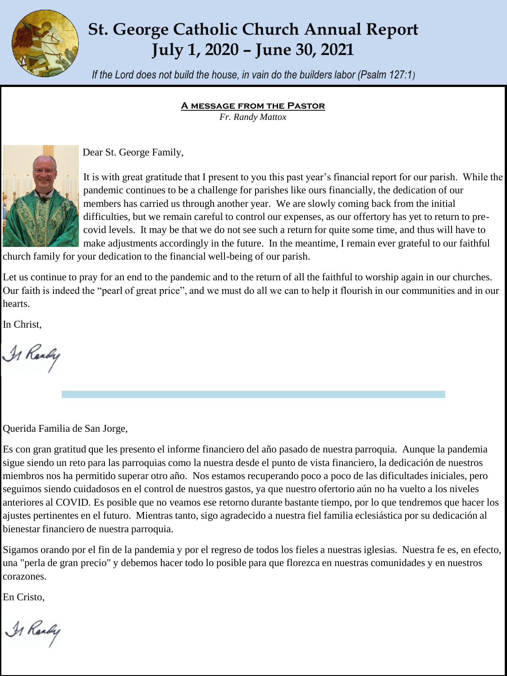

# **St. George Catholic Church Annual Report July 1, 2020 – June 30, 2021**

*If the Lord does not build the house, in vain do the builders labor (Psalm 127:1)*

#### **A message from the Pastor**

*Fr. Randy Mattox*



Dear St. George Family,

It is with great gratitude that I present to you this past year's financial report for our parish. While the pandemic continues to be a challenge for parishes like ours financially, the dedication of our members has carried us through another year. We are slowly coming back from the initial difficulties, but we remain careful to control our expenses, as our offertory has yet to return to precovid levels. It may be that we do not see such a return for quite some time, and thus will have to make adjustments accordingly in the future. In the meantime, I remain ever grateful to our faithful

church family for your dedication to the financial well-being of our parish.

Let us continue to pray for an end to the pandemic and to the return of all the faithful to worship again in our churches. Our faith is indeed the "pearl of great price", and we must do all we can to help it flourish in our communities and in our hearts.

In Christ,

Is Randy

Querida Familia de San Jorge,

Es con gran gratitud que les presento el informe financiero del año pasado de nuestra parroquia. Aunque la pandemia sigue siendo un reto para las parroquias como la nuestra desde el punto de vista financiero, la dedicación de nuestros miembros nos ha permitido superar otro año. Nos estamos recuperando poco a poco de las dificultades iniciales, pero seguimos siendo cuidadosos en el control de nuestros gastos, ya que nuestro ofertorio aún no ha vuelto a los niveles anteriores al COVID. Es posible que no veamos ese retorno durante bastante tiempo, por lo que tendremos que hacer los ajustes pertinentes en el futuro. Mientras tanto, sigo agradecido a nuestra fiel familia eclesiástica por su dedicación al bienestar financiero de nuestra parroquia.

Sigamos orando por el fin de la pandemia y por el regreso de todos los fieles a nuestras iglesias. Nuestra fe es, en efecto, una "perla de gran precio" y debemos hacer todo lo posible para que florezca en nuestras comunidades y en nuestros corazones.

En Cristo,

A Randy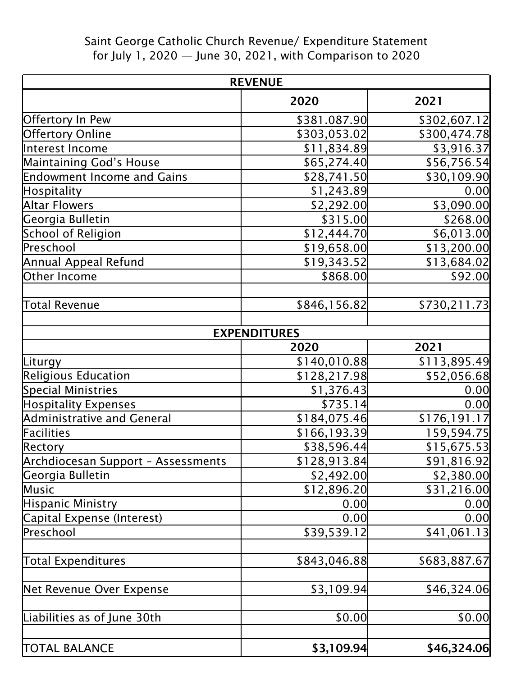## Saint George Catholic Church Revenue/ Expenditure Statement for July 1, 2020 — June 30, 2021, with Comparison to 2020

| <b>REVENUE</b>                     |                     |              |
|------------------------------------|---------------------|--------------|
|                                    | 2020                | 2021         |
| Offertory In Pew                   | \$381.087.90        | \$302,607.12 |
| <b>Offertory Online</b>            | \$303,053.02        | \$300,474.78 |
| Interest Income                    | \$11,834.89         | \$3,916.37   |
| Maintaining God's House            | \$65,274.40         | \$56,756.54  |
| <b>Endowment Income and Gains</b>  | \$28,741.50         | \$30,109.90  |
| <b>Hospitality</b>                 | \$1,243.89          | 0.00         |
| Altar Flowers                      | \$2,292.00          | \$3,090.00   |
| Georgia Bulletin                   | \$315.00            | \$268.00     |
| School of Religion                 | \$12,444.70         | \$6,013.00   |
| Preschool                          | \$19,658.00         | \$13,200.00  |
| Annual Appeal Refund               | \$19,343.52         | \$13,684.02  |
| Other Income                       | \$868.00            | \$92.00      |
| Total Revenue                      | \$846,156.82        | \$730,211.73 |
|                                    | <b>EXPENDITURES</b> |              |
|                                    | 2020                | 2021         |
| Liturgy                            | \$140,010.88        | \$113,895.49 |
| Religious Education                | \$128,217.98        | \$52,056.68  |
| Special Ministries                 | \$1,376.43          | 0.00         |
| <b>Hospitality Expenses</b>        | \$735.14]           | 0.00         |
| Administrative and General         | \$184,075.46        | \$176,191.17 |
| Facilities                         | \$166,193.39        | 159,594.75   |
| Rectory                            | \$38,596.44         | \$15,675.53  |
| Archdiocesan Support - Assessments | \$128,913.84        | \$91,816.92  |
| Georgia Bulletin                   | \$2,492.00          | \$2,380.00   |
| Music                              | \$12,896.20         | \$31,216.00  |
| Hispanic Ministry                  | 0.00                | 0.00         |
| Capital Expense (Interest)         | 0.00                | 0.00         |
| Preschool                          | \$39,539.12         | \$41,061.13  |
| Total Expenditures                 | \$843,046.88        | \$683,887.67 |
| Net Revenue Over Expense           | \$3,109.94          | \$46,324.06  |
| Liabilities as of June 30th        | \$0.00              | \$0.00       |
| <b>TOTAL BALANCE</b>               | \$3,109.94          | \$46,324.06  |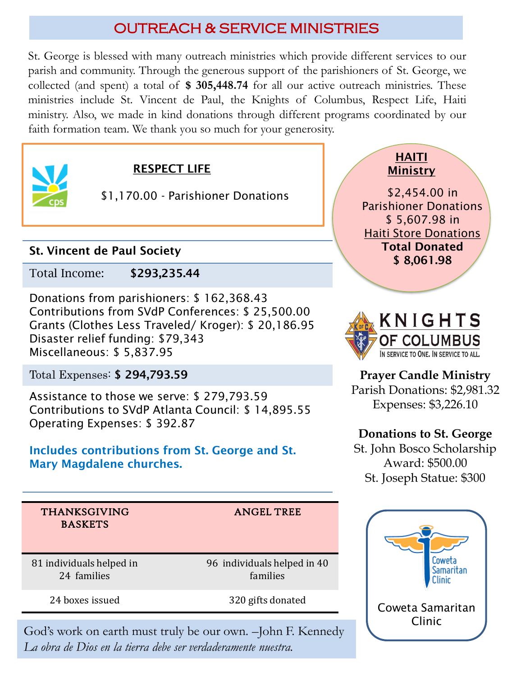# OUTREACH & SERVICE MINISTRIES

St. George is blessed with many outreach ministries which provide different services to our parish and community. Through the generous support of the parishioners of St. George, we collected (and spent) a total of **\$ 305,448.74** for all our active outreach ministries. These ministries include St. Vincent de Paul, the Knights of Columbus, Respect Life, Haiti ministry. Also, we made in kind donations through different programs coordinated by our faith formation team. We thank you so much for your generosity.



## RESPECT LIFE

\$1,170.00 - Parishioner Donations

## St. Vincent de Paul Society

Total Income: \$293,235.44

Donations from parishioners: \$ 162,368.43 Contributions from SVdP Conferences: \$ 25,500.00 Grants (Clothes Less Traveled/ Kroger): \$ 20,186.95 Disaster relief funding: \$79,343 Miscellaneous: \$ 5,837.95

Total Expenses: \$ 294,793.59

Assistance to those we serve: \$ 279,793.59 Contributions to SVdP Atlanta Council: \$ 14,895.55 Operating Expenses: \$ 392.87

#### Includes contributions from St. George and St. Mary Magdalene churches.

HAITI **Ministry** 

\$2,454.00 in Parishioner Donations \$ 5,607.98 in Haiti Store Donations Total Donated \$ 8,061.98



**Prayer Candle Ministry** Parish Donations: \$2,981.32 Expenses: \$3,226.10

## **Donations to St. George**

St. John Bosco Scholarship Award: \$500.00 St. Joseph Statue: \$300

THANKSGIVING BASKETS

ANGEL TREE

81 individuals helped in 24 families

96 individuals helped in 40 families

God's work on earth must truly be our own. –John F. Kennedy *La obra de Dios en la tierra debe ser verdaderamente nuestra.*